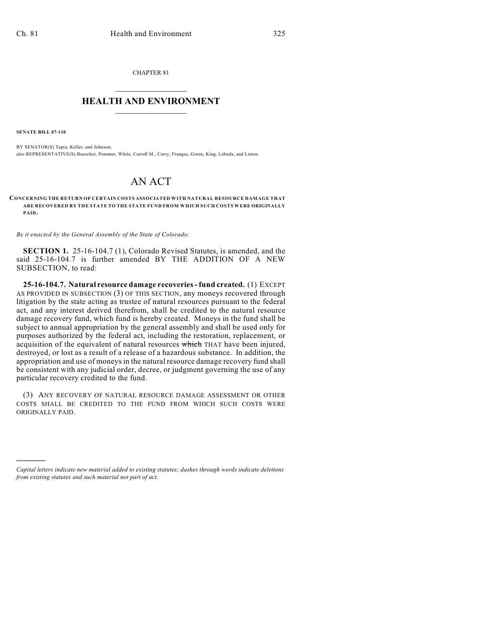CHAPTER 81  $\mathcal{L}_\text{max}$  . The set of the set of the set of the set of the set of the set of the set of the set of the set of the set of the set of the set of the set of the set of the set of the set of the set of the set of the set

## **HEALTH AND ENVIRONMENT**  $\_$

**SENATE BILL 07-110**

)))))

BY SENATOR(S) Tapia, Keller, and Johnson; also REPRESENTATIVE(S) Buescher, Pommer, White, Carroll M., Curry, Frangas, Green, King, Labuda, and Liston.

## AN ACT

## **CONCERNING THE RETURN OF CERTAIN COSTS ASSOCIATED WITH NATURAL RESOURCE DAMAGE THAT ARE RECOVERED BY THE STATE TO THE STATE FUND FROM WHICH SUCH COSTS WERE ORIGINALLY PAID.**

*Be it enacted by the General Assembly of the State of Colorado:*

**SECTION 1.** 25-16-104.7 (1), Colorado Revised Statutes, is amended, and the said 25-16-104.7 is further amended BY THE ADDITION OF A NEW SUBSECTION, to read:

**25-16-104.7. Natural resource damage recoveries - fund created.** (1) EXCEPT AS PROVIDED IN SUBSECTION (3) OF THIS SECTION, any moneys recovered through litigation by the state acting as trustee of natural resources pursuant to the federal act, and any interest derived therefrom, shall be credited to the natural resource damage recovery fund, which fund is hereby created. Moneys in the fund shall be subject to annual appropriation by the general assembly and shall be used only for purposes authorized by the federal act, including the restoration, replacement, or acquisition of the equivalent of natural resources which THAT have been injured, destroyed, or lost as a result of a release of a hazardous substance. In addition, the appropriation and use of moneys in the natural resource damage recovery fund shall be consistent with any judicial order, decree, or judgment governing the use of any particular recovery credited to the fund.

(3) ANY RECOVERY OF NATURAL RESOURCE DAMAGE ASSESSMENT OR OTHER COSTS SHALL BE CREDITED TO THE FUND FROM WHICH SUCH COSTS WERE ORIGINALLY PAID.

*Capital letters indicate new material added to existing statutes; dashes through words indicate deletions from existing statutes and such material not part of act.*